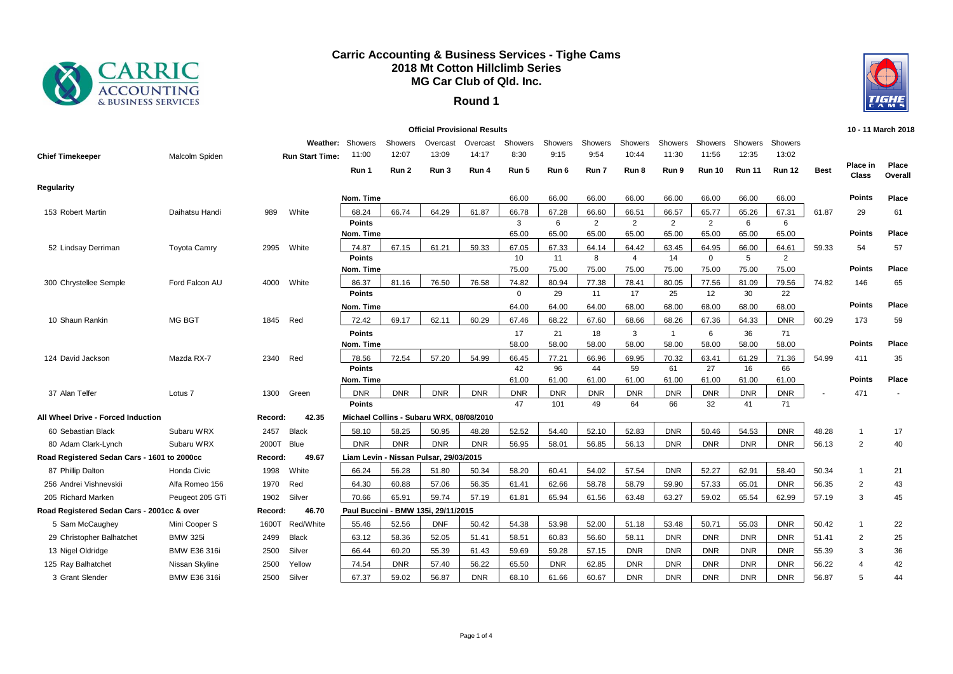

## **Carric Accounting & Business Services - Tighe Cams 2018 Mt Cotton Hillclimb Series MG Car Club of Qld. Inc.**

## **Round 1**



| <b>Official Provisional Results</b>         |                     |         |                        |                            |            |                                          |            |              |             | 10 - 11 March 2018 |                         |                |                       |               |                         |             |                   |                  |
|---------------------------------------------|---------------------|---------|------------------------|----------------------------|------------|------------------------------------------|------------|--------------|-------------|--------------------|-------------------------|----------------|-----------------------|---------------|-------------------------|-------------|-------------------|------------------|
|                                             |                     |         | Weather:               | Showers                    | Showers    | Overcast                                 | Overcast   | Showers      | Showers     | Showers            | Showers                 | Showers        | <b>Showers</b>        | Showers       | Showers                 |             |                   |                  |
| <b>Chief Timekeeper</b>                     | Malcolm Spiden      |         | <b>Run Start Time:</b> | 11:00                      | 12:07      | 13:09                                    | 14:17      | 8:30         | 9:15        | 9:54               | 10:44                   | 11:30          | 11:56                 | 12:35         | 13:02                   |             |                   |                  |
|                                             |                     |         |                        | Run 1                      | Run 2      | Run 3                                    | Run 4      | Run 5        | Run 6       | Run 7              | Run 8                   | Run 9          | <b>Run 10</b>         | <b>Run 11</b> | <b>Run 12</b>           | <b>Best</b> | Place in<br>Class | Place<br>Overall |
| Regularity                                  |                     |         |                        |                            |            |                                          |            |              |             |                    |                         |                |                       |               |                         |             |                   |                  |
|                                             |                     |         |                        | Nom. Time                  |            |                                          |            | 66.00        | 66.00       | 66.00              | 66.00                   | 66.00          | 66.00                 | 66.00         | 66.00                   |             | <b>Points</b>     | Place            |
| 153 Robert Martin                           | Daihatsu Handi      | 989     | White                  | 68.24                      | 66.74      | 64.29                                    | 61.87      | 66.78        | 67.28       | 66.60              | 66.51                   | 66.57          | 65.77                 | 65.26         | 67.31                   | 61.87       | 29                | 61               |
|                                             |                     |         |                        | <b>Points</b>              |            |                                          |            | 3            | 6           | 2                  | $\overline{2}$          | $\overline{2}$ | $\overline{2}$        | 6             | 6                       |             |                   |                  |
|                                             |                     |         |                        | Nom. Time                  |            |                                          |            | 65.00        | 65.00       | 65.00              | 65.00                   | 65.00          | 65.00                 | 65.00         | 65.00                   |             | <b>Points</b>     | Place            |
| 52 Lindsay Derriman                         | <b>Toyota Camry</b> | 2995    | White                  | 74.87                      | 67.15      | 61.21                                    | 59.33      | 67.05        | 67.33       | 64.14              | 64.42                   | 63.45          | 64.95                 | 66.00         | 64.61                   | 59.33       | 54                | 57               |
|                                             |                     |         |                        | <b>Points</b><br>Nom. Time |            |                                          |            | 10<br>75.00  | 11<br>75.00 | 8<br>75.00         | $\overline{4}$<br>75.00 | 14<br>75.00    | $\mathbf{0}$<br>75.00 | 5<br>75.00    | $\overline{2}$<br>75.00 |             | <b>Points</b>     | Place            |
|                                             |                     |         |                        |                            | 81.16      | 76.50                                    | 76.58      | 74.82        |             |                    | 78.41                   |                |                       |               | 79.56                   | 74.82       |                   |                  |
| 300 Chrystellee Semple                      | Ford Falcon AU      | 4000    | White                  | 86.37<br>Points            |            |                                          |            | $\mathbf{0}$ | 80.94<br>29 | 77.38<br>11        | 17                      | 80.05<br>25    | 77.56<br>12           | 81.09<br>30   | 22                      |             | 146               | 65               |
|                                             |                     |         |                        | Nom. Time                  |            |                                          |            | 64.00        | 64.00       | 64.00              | 68.00                   | 68.00          | 68.00                 | 68.00         | 68.00                   |             | <b>Points</b>     | Place            |
| 10 Shaun Rankin                             | <b>MG BGT</b>       | 1845    | Red                    | 72.42                      | 69.17      | 62.11                                    | 60.29      | 67.46        | 68.22       | 67.60              | 68.66                   | 68.26          | 67.36                 | 64.33         | <b>DNR</b>              | 60.29       | 173               | 59               |
|                                             |                     |         |                        | <b>Points</b>              |            |                                          |            | 17           | 21          | 18                 | 3                       | $\mathbf{1}$   | 6                     | 36            | 71                      |             |                   |                  |
|                                             |                     |         |                        | Nom. Time                  |            |                                          |            | 58.00        | 58.00       | 58.00              | 58.00                   | 58.00          | 58.00                 | 58.00         | 58.00                   |             | <b>Points</b>     | Place            |
| 124 David Jackson                           | Mazda RX-7          | 2340    | Red                    | 78.56                      | 72.54      | 57.20                                    | 54.99      | 66.45        | 77.21       | 66.96              | 69.95                   | 70.32          | 63.41                 | 61.29         | 71.36                   | 54.99       | 411               | 35               |
|                                             |                     |         |                        | <b>Points</b>              |            |                                          |            | 42           | 96          | 44                 | 59                      | 61             | 27                    | 16            | 66                      |             |                   |                  |
|                                             |                     |         |                        | Nom. Time                  |            |                                          |            | 61.00        | 61.00       | 61.00              | 61.00                   | 61.00          | 61.00                 | 61.00         | 61.00                   |             | <b>Points</b>     | Place            |
| 37 Alan Telfer                              | Lotus <sub>7</sub>  | 1300    | Green                  | <b>DNR</b>                 | <b>DNR</b> | <b>DNR</b>                               | <b>DNR</b> | <b>DNR</b>   | <b>DNR</b>  | <b>DNR</b>         | <b>DNR</b>              | <b>DNR</b>     | <b>DNR</b>            | <b>DNR</b>    | <b>DNR</b>              |             | 471               |                  |
|                                             |                     |         |                        | <b>Points</b>              |            |                                          |            | 47           | 101         | 49                 | 64                      | 66             | 32                    | 41            | 71                      |             |                   |                  |
| All Wheel Drive - Forced Induction          |                     | Record: | 42.35                  |                            |            | Michael Collins - Subaru WRX, 08/08/2010 |            |              |             |                    |                         |                |                       |               |                         |             |                   |                  |
| 60 Sebastian Black                          | Subaru WRX          | 2457    | <b>Black</b>           | 58.10                      | 58.25      | 50.95                                    | 48.28      | 52.52        | 54.40       | 52.10              | 52.83                   | <b>DNR</b>     | 50.46                 | 54.53         | <b>DNR</b>              | 48.28       | $\mathbf{1}$      | 17               |
| 80 Adam Clark-Lynch                         | Subaru WRX          | 2000T   | Blue                   | <b>DNR</b>                 | <b>DNR</b> | <b>DNR</b>                               | <b>DNR</b> | 56.95        | 58.01       | 56.85              | 56.13                   | <b>DNR</b>     | <b>DNR</b>            | <b>DNR</b>    | <b>DNR</b>              | 56.13       | 2                 | 40               |
| Road Registered Sedan Cars - 1601 to 2000cc |                     | Record: | 49.67                  |                            |            | Liam Levin - Nissan Pulsar, 29/03/2015   |            |              |             |                    |                         |                |                       |               |                         |             |                   |                  |
| 87 Phillip Dalton                           | Honda Civic         | 1998    | White                  | 66.24                      | 56.28      | 51.80                                    | 50.34      | 58.20        | 60.41       | 54.02              | 57.54                   | <b>DNR</b>     | 52.27                 | 62.91         | 58.40                   | 50.34       | $\mathbf{1}$      | 21               |
| 256 Andrei Vishnevskii                      | Alfa Romeo 156      | 1970    | Red                    | 64.30                      | 60.88      | 57.06                                    | 56.35      | 61.41        | 62.66       | 58.78              | 58.79                   | 59.90          | 57.33                 | 65.01         | <b>DNR</b>              | 56.35       | 2                 | 43               |
| 205 Richard Marken                          | Peugeot 205 GTi     | 1902    | Silver                 | 70.66                      | 65.91      | 59.74                                    | 57.19      | 61.81        | 65.94       | 61.56              | 63.48                   | 63.27          | 59.02                 | 65.54         | 62.99                   | 57.19       | 3                 | 45               |
| Road Registered Sedan Cars - 2001cc & over  |                     | Record: | 46.70                  |                            |            | Paul Buccini - BMW 135i, 29/11/2015      |            |              |             |                    |                         |                |                       |               |                         |             |                   |                  |
| 5 Sam McCaughey                             | Mini Cooper S       | 1600T   | Red/White              | 55.46                      | 52.56      | <b>DNF</b>                               | 50.42      | 54.38        | 53.98       | 52.00              | 51.18                   | 53.48          | 50.71                 | 55.03         | <b>DNR</b>              | 50.42       | $\mathbf{1}$      | 22               |
| 29 Christopher Balhatchet                   | <b>BMW 325i</b>     | 2499    | <b>Black</b>           | 63.12                      | 58.36      | 52.05                                    | 51.41      | 58.51        | 60.83       | 56.60              | 58.11                   | <b>DNR</b>     | <b>DNR</b>            | <b>DNR</b>    | <b>DNR</b>              | 51.41       | 2                 | 25               |
| 13 Nigel Oldridge                           | <b>BMW E36 316i</b> | 2500    | Silver                 | 66.44                      | 60.20      | 55.39                                    | 61.43      | 59.69        | 59.28       | 57.15              | <b>DNR</b>              | <b>DNR</b>     | <b>DNR</b>            | <b>DNR</b>    | <b>DNR</b>              | 55.39       | 3                 | 36               |
| 125 Ray Balhatchet                          | Nissan Skyline      | 2500    | Yellow                 | 74.54                      | <b>DNR</b> | 57.40                                    | 56.22      | 65.50        | <b>DNR</b>  | 62.85              | <b>DNR</b>              | <b>DNR</b>     | <b>DNR</b>            | <b>DNR</b>    | <b>DNR</b>              | 56.22       | $\Delta$          | 42               |
| 3 Grant Slender                             | <b>BMW E36 316i</b> | 2500    | Silver                 | 67.37                      | 59.02      | 56.87                                    | <b>DNR</b> | 68.10        | 61.66       | 60.67              | <b>DNR</b>              | <b>DNR</b>     | <b>DNR</b>            | <b>DNR</b>    | <b>DNR</b>              | 56.87       | 5                 | 44               |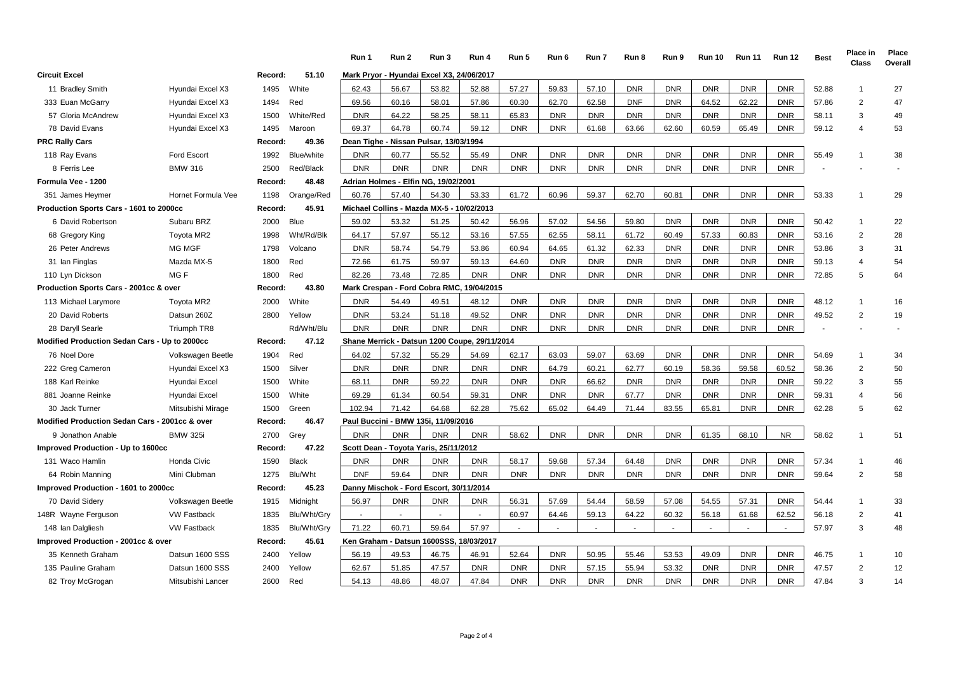|                                                |                    |         |              | Run 1      | Run 2                                     | Run 3      | Run 4                                         | Run 5      | Run 6      | Run 7      | Run 8      | Run 9      | <b>Run 10</b> | <b>Run 11</b> | <b>Run 12</b> | <b>Best</b> | Place in<br>Class | Place<br>Overall |
|------------------------------------------------|--------------------|---------|--------------|------------|-------------------------------------------|------------|-----------------------------------------------|------------|------------|------------|------------|------------|---------------|---------------|---------------|-------------|-------------------|------------------|
| <b>Circuit Excel</b>                           |                    | Record: | 51.10        |            | Mark Pryor - Hyundai Excel X3, 24/06/2017 |            |                                               |            |            |            |            |            |               |               |               |             |                   |                  |
| 11 Bradley Smith                               | Hyundai Excel X3   | 1495    | White        | 62.43      | 56.67                                     | 53.82      | 52.88                                         | 57.27      | 59.83      | 57.10      | <b>DNR</b> | <b>DNR</b> | <b>DNR</b>    | <b>DNR</b>    | <b>DNR</b>    | 52.88       | $\overline{1}$    | 27               |
| 333 Euan McGarry                               | Hyundai Excel X3   | 1494    | Red          | 69.56      | 60.16                                     | 58.01      | 57.86                                         | 60.30      | 62.70      | 62.58      | <b>DNF</b> | <b>DNR</b> | 64.52         | 62.22         | <b>DNR</b>    | 57.86       | $\overline{2}$    | 47               |
| 57 Gloria McAndrew                             | Hyundai Excel X3   | 1500    | White/Red    | <b>DNR</b> | 64.22                                     | 58.25      | 58.11                                         | 65.83      | <b>DNR</b> | <b>DNR</b> | <b>DNR</b> | <b>DNR</b> | <b>DNR</b>    | <b>DNR</b>    | <b>DNR</b>    | 58.11       | 3                 | 49               |
| 78 David Evans                                 | Hyundai Excel X3   | 1495    | Maroon       | 69.37      | 64.78                                     | 60.74      | 59.12                                         | <b>DNR</b> | <b>DNR</b> | 61.68      | 63.66      | 62.60      | 60.59         | 65.49         | <b>DNR</b>    | 59.12       | 4                 | 53               |
| <b>PRC Rally Cars</b>                          |                    | Record: | 49.36        |            | Dean Tighe - Nissan Pulsar, 13/03/1994    |            |                                               |            |            |            |            |            |               |               |               |             |                   |                  |
| 118 Ray Evans                                  | <b>Ford Escort</b> | 1992    | Blue/white   | <b>DNR</b> | 60.77                                     | 55.52      | 55.49                                         | <b>DNR</b> | <b>DNR</b> | <b>DNR</b> | <b>DNR</b> | <b>DNR</b> | <b>DNR</b>    | <b>DNR</b>    | <b>DNR</b>    | 55.49       | -1                | 38               |
| 8 Ferris Lee                                   | <b>BMW 316</b>     | 2500    | Red/Black    | <b>DNR</b> | <b>DNR</b>                                | <b>DNR</b> | <b>DNR</b>                                    | <b>DNR</b> | <b>DNR</b> | <b>DNR</b> | <b>DNR</b> | <b>DNR</b> | <b>DNR</b>    | <b>DNR</b>    | <b>DNR</b>    |             |                   |                  |
| Formula Vee - 1200                             |                    | Record: | 48.48        |            | Adrian Holmes - Elfin NG, 19/02/2001      |            |                                               |            |            |            |            |            |               |               |               |             |                   |                  |
| 351 James Heymer                               | Hornet Formula Vee | 1198    | Orange/Red   | 60.76      | 57.40                                     | 54.30      | 53.33                                         | 61.72      | 60.96      | 59.37      | 62.70      | 60.81      | <b>DNR</b>    | <b>DNR</b>    | <b>DNR</b>    | 53.33       | $\overline{1}$    | 29               |
| Production Sports Cars - 1601 to 2000cc        |                    | Record: | 45.91        |            | Michael Collins - Mazda MX-5 - 10/02/2013 |            |                                               |            |            |            |            |            |               |               |               |             |                   |                  |
| 6 David Robertson                              | Subaru BRZ         | 2000    | <b>Blue</b>  | 59.02      | 53.32                                     | 51.25      | 50.42                                         | 56.96      | 57.02      | 54.56      | 59.80      | <b>DNR</b> | <b>DNR</b>    | <b>DNR</b>    | <b>DNR</b>    | 50.42       | $\mathbf{1}$      | 22               |
| 68 Gregory King                                | Toyota MR2         | 1998    | Wht/Rd/Blk   | 64.17      | 57.97                                     | 55.12      | 53.16                                         | 57.55      | 62.55      | 58.11      | 61.72      | 60.49      | 57.33         | 60.83         | <b>DNR</b>    | 53.16       | $\overline{2}$    | 28               |
| 26 Peter Andrews                               | MG MGF             | 1798    | Volcano      | <b>DNR</b> | 58.74                                     | 54.79      | 53.86                                         | 60.94      | 64.65      | 61.32      | 62.33      | <b>DNR</b> | <b>DNR</b>    | <b>DNR</b>    | <b>DNR</b>    | 53.86       | 3                 | 31               |
| 31 Ian Finglas                                 | Mazda MX-5         | 1800    | Red          | 72.66      | 61.75                                     | 59.97      | 59.13                                         | 64.60      | <b>DNR</b> | <b>DNR</b> | <b>DNR</b> | <b>DNR</b> | <b>DNR</b>    | <b>DNR</b>    | <b>DNR</b>    | 59.13       | 4                 | 54               |
| 110 Lyn Dickson                                | MG F               | 1800    | Red          | 82.26      | 73.48                                     | 72.85      | <b>DNR</b>                                    | <b>DNR</b> | <b>DNR</b> | <b>DNR</b> | <b>DNR</b> | <b>DNR</b> | <b>DNR</b>    | <b>DNR</b>    | <b>DNR</b>    | 72.85       | 5                 | 64               |
| Production Sports Cars - 2001cc & over         |                    | Record: | 43.80        |            |                                           |            | Mark Crespan - Ford Cobra RMC, 19/04/2015     |            |            |            |            |            |               |               |               |             |                   |                  |
| 113 Michael Larymore                           | Toyota MR2         | 2000    | White        | <b>DNR</b> | 54.49                                     | 49.51      | 48.12                                         | <b>DNR</b> | <b>DNR</b> | <b>DNR</b> | <b>DNR</b> | <b>DNR</b> | <b>DNR</b>    | <b>DNR</b>    | <b>DNR</b>    | 48.12       | $\mathbf 1$       | 16               |
| 20 David Roberts                               | Datsun 260Z        | 2800    | Yellow       | <b>DNR</b> | 53.24                                     | 51.18      | 49.52                                         | <b>DNR</b> | <b>DNR</b> | <b>DNR</b> | <b>DNR</b> | <b>DNR</b> | <b>DNR</b>    | <b>DNR</b>    | <b>DNR</b>    | 49.52       | $\overline{2}$    | 19               |
| 28 Daryll Searle                               | <b>Triumph TR8</b> |         | Rd/Wht/Blu   | <b>DNR</b> | <b>DNR</b>                                | <b>DNR</b> | <b>DNR</b>                                    | <b>DNR</b> | <b>DNR</b> | <b>DNR</b> | <b>DNR</b> | <b>DNR</b> | <b>DNR</b>    | <b>DNR</b>    | <b>DNR</b>    |             |                   |                  |
| Modified Production Sedan Cars - Up to 2000cc  |                    | Record: | 47.12        |            |                                           |            | Shane Merrick - Datsun 1200 Coupe, 29/11/2014 |            |            |            |            |            |               |               |               |             |                   |                  |
| 76 Noel Dore                                   | Volkswagen Beetle  | 1904    | Red          | 64.02      | 57.32                                     | 55.29      | 54.69                                         | 62.17      | 63.03      | 59.07      | 63.69      | <b>DNR</b> | <b>DNR</b>    | <b>DNR</b>    | <b>DNR</b>    | 54.69       | $\mathbf{1}$      | 34               |
| 222 Greg Cameron                               | Hyundai Excel X3   | 1500    | Silver       | <b>DNR</b> | <b>DNR</b>                                | <b>DNR</b> | <b>DNR</b>                                    | <b>DNR</b> | 64.79      | 60.21      | 62.77      | 60.19      | 58.36         | 59.58         | 60.52         | 58.36       | 2                 | 50               |
| 188 Karl Reinke                                | Hyundai Excel      | 1500    | White        | 68.11      | <b>DNR</b>                                | 59.22      | <b>DNR</b>                                    | <b>DNR</b> | <b>DNR</b> | 66.62      | <b>DNR</b> | <b>DNR</b> | <b>DNR</b>    | <b>DNR</b>    | <b>DNR</b>    | 59.22       | 3                 | 55               |
| 881 Joanne Reinke                              | Hyundai Excel      | 1500    | White        | 69.29      | 61.34                                     | 60.54      | 59.31                                         | <b>DNR</b> | <b>DNR</b> | <b>DNR</b> | 67.77      | <b>DNR</b> | <b>DNR</b>    | <b>DNR</b>    | <b>DNR</b>    | 59.31       | 4                 | 56               |
| 30 Jack Turner                                 | Mitsubishi Mirage  | 1500    | Green        | 102.94     | 71.42                                     | 64.68      | 62.28                                         | 75.62      | 65.02      | 64.49      | 71.44      | 83.55      | 65.81         | <b>DNR</b>    | <b>DNR</b>    | 62.28       | 5                 | 62               |
| Modified Production Sedan Cars - 2001cc & over |                    | Record: | 46.47        |            | Paul Buccini - BMW 135i, 11/09/2016       |            |                                               |            |            |            |            |            |               |               |               |             |                   |                  |
| 9 Jonathon Anable                              | <b>BMW 325i</b>    | 2700    | Grey         | <b>DNR</b> | <b>DNR</b>                                | <b>DNR</b> | <b>DNR</b>                                    | 58.62      | <b>DNR</b> | <b>DNR</b> | <b>DNR</b> | <b>DNR</b> | 61.35         | 68.10         | <b>NR</b>     | 58.62       | $\overline{1}$    | 51               |
| Improved Production - Up to 1600cc             |                    | Record: | 47.22        |            | Scott Dean - Toyota Yaris, 25/11/2012     |            |                                               |            |            |            |            |            |               |               |               |             |                   |                  |
| 131 Waco Hamlin                                | <b>Honda Civic</b> | 1590    | <b>Black</b> | <b>DNR</b> | <b>DNR</b>                                | <b>DNR</b> | <b>DNR</b>                                    | 58.17      | 59.68      | 57.34      | 64.48      | <b>DNR</b> | <b>DNR</b>    | <b>DNR</b>    | <b>DNR</b>    | 57.34       | $\overline{1}$    | 46               |
| 64 Robin Manning                               | Mini Clubman       | 1275    | Blu/Wht      | <b>DNF</b> | 59.64                                     | <b>DNR</b> | <b>DNR</b>                                    | <b>DNR</b> | <b>DNR</b> | <b>DNR</b> | <b>DNR</b> | <b>DNR</b> | <b>DNR</b>    | <b>DNR</b>    | <b>DNR</b>    | 59.64       | $\overline{2}$    | 58               |
| Improved Production - 1601 to 2000cc           |                    | Record: | 45.23        |            | Danny Mischok - Ford Escort, 30/11/2014   |            |                                               |            |            |            |            |            |               |               |               |             |                   |                  |
| 70 David Sidery                                | Volkswagen Beetle  | 1915    | Midnight     | 56.97      | <b>DNR</b>                                | <b>DNR</b> | <b>DNR</b>                                    | 56.31      | 57.69      | 54.44      | 58.59      | 57.08      | 54.55         | 57.31         | <b>DNR</b>    | 54.44       | $\mathbf{1}$      | 33               |
| 148R Wayne Ferguson                            | <b>VW Fastback</b> | 1835    | Blu/Wht/Gry  | . .        | $\sim$                                    |            |                                               | 60.97      | 64.46      | 59.13      | 64.22      | 60.32      | 56.18         | 61.68         | 62.52         | 56.18       | $\overline{2}$    | 41               |
| 148 Ian Dalgliesh                              | <b>VW Fastback</b> | 1835    | Blu/Wht/Gry  | 71.22      | 60.71                                     | 59.64      | 57.97                                         |            |            |            |            |            |               |               |               | 57.97       | 3                 | 48               |
| Improved Production - 2001cc & over            |                    | Record: | 45.61        |            | Ken Graham - Datsun 1600SSS, 18/03/2017   |            |                                               |            |            |            |            |            |               |               |               |             |                   |                  |
| 35 Kenneth Graham                              | Datsun 1600 SSS    | 2400    | Yellow       | 56.19      | 49.53                                     | 46.75      | 46.91                                         | 52.64      | <b>DNR</b> | 50.95      | 55.46      | 53.53      | 49.09         | <b>DNR</b>    | <b>DNR</b>    | 46.75       | $\overline{1}$    | 10               |
| 135 Pauline Graham                             | Datsun 1600 SSS    | 2400    | Yellow       | 62.67      | 51.85                                     | 47.57      | <b>DNR</b>                                    | <b>DNR</b> | <b>DNR</b> | 57.15      | 55.94      | 53.32      | <b>DNR</b>    | <b>DNR</b>    | <b>DNR</b>    | 47.57       | $\overline{2}$    | 12               |
| 82 Troy McGrogan                               | Mitsubishi Lancer  | 2600    | Red          | 54.13      | 48.86                                     | 48.07      | 47.84                                         | <b>DNR</b> | <b>DNR</b> | <b>DNR</b> | <b>DNR</b> | <b>DNR</b> | <b>DNR</b>    | <b>DNR</b>    | <b>DNR</b>    | 47.84       | 3                 | 14               |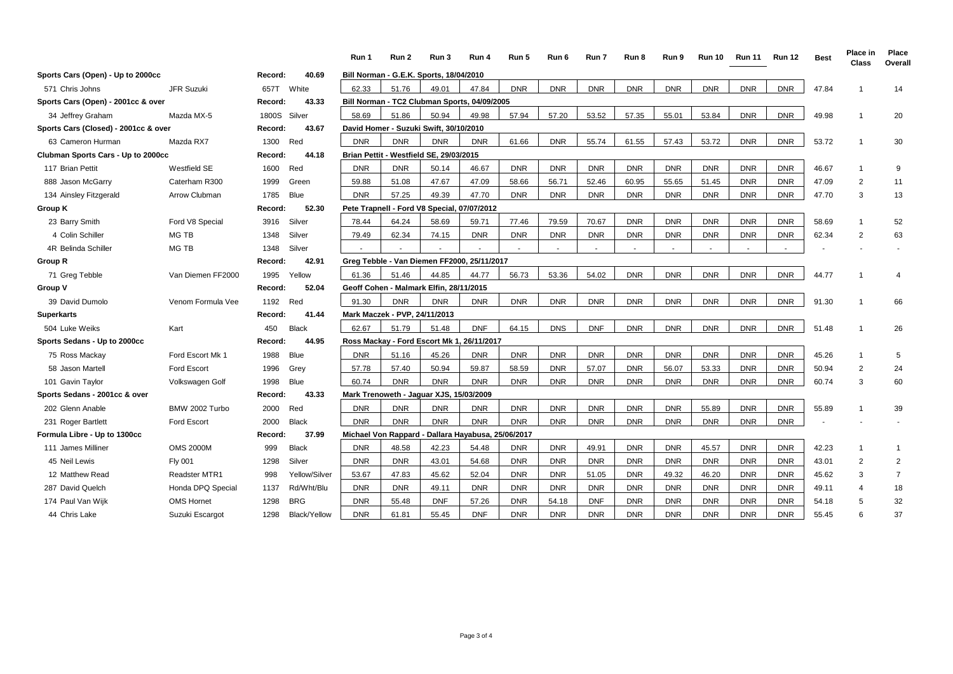|                                      |                      |         |               | Run 1      | Run 2                                              | Run 3      | Run 4      | Run 5      | Run 6      | Run 7      | Run 8      | Run 9      | <b>Run 10</b> | <b>Run 11</b> | <b>Run 12</b> | <b>Best</b> | Place in<br>Class | Place<br>Overall |
|--------------------------------------|----------------------|---------|---------------|------------|----------------------------------------------------|------------|------------|------------|------------|------------|------------|------------|---------------|---------------|---------------|-------------|-------------------|------------------|
| Sports Cars (Open) - Up to 2000cc    |                      | Record: | 40.69         |            | Bill Norman - G.E.K. Sports, 18/04/2010            |            |            |            |            |            |            |            |               |               |               |             |                   |                  |
| 571 Chris Johns                      | JFR Suzuki           | 657T    | White         | 62.33      | 51.76                                              | 49.01      | 47.84      | <b>DNR</b> | <b>DNR</b> | <b>DNR</b> | <b>DNR</b> | <b>DNR</b> | <b>DNR</b>    | <b>DNR</b>    | <b>DNR</b>    | 47.84       |                   | 14               |
| Sports Cars (Open) - 2001cc & over   |                      | Record: | 43.33         |            | Bill Norman - TC2 Clubman Sports, 04/09/2005       |            |            |            |            |            |            |            |               |               |               |             |                   |                  |
| 34 Jeffrey Graham                    | Mazda MX-5           | 1800S   | Silver        | 58.69      | 51.86                                              | 50.94      | 49.98      | 57.94      | 57.20      | 53.52      | 57.35      | 55.01      | 53.84         | <b>DNR</b>    | <b>DNR</b>    | 49.98       | -1                | 20               |
| Sports Cars (Closed) - 2001cc & over |                      | Record: | 43.67         |            | David Homer - Suzuki Swift, 30/10/2010             |            |            |            |            |            |            |            |               |               |               |             |                   |                  |
| 63 Cameron Hurman                    | Mazda RX7            | 1300    | Red           | <b>DNR</b> | <b>DNR</b>                                         | <b>DNR</b> | <b>DNR</b> | 61.66      | <b>DNR</b> | 55.74      | 61.55      | 57.43      | 53.72         | <b>DNR</b>    | <b>DNR</b>    | 53.72       | -1                | 30               |
| Clubman Sports Cars - Up to 2000cc   |                      | Record: | 44.18         |            | Brian Pettit - Westfield SE, 29/03/2015            |            |            |            |            |            |            |            |               |               |               |             |                   |                  |
| 117 Brian Pettit                     | Westfield SE         | 1600    | Red           | <b>DNR</b> | <b>DNR</b>                                         | 50.14      | 46.67      | <b>DNR</b> | <b>DNR</b> | <b>DNR</b> | <b>DNR</b> | <b>DNR</b> | <b>DNR</b>    | <b>DNR</b>    | <b>DNR</b>    | 46.67       | -1                | 9                |
| 888 Jason McGarry                    | Caterham R300        | 1999    | Green         | 59.88      | 51.08                                              | 47.67      | 47.09      | 58.66      | 56.71      | 52.46      | 60.95      | 55.65      | 51.45         | <b>DNR</b>    | <b>DNR</b>    | 47.09       | $\overline{2}$    | 11               |
| 134 Ainsley Fitzgerald               | Arrow Clubman        | 1785    | <b>Blue</b>   | <b>DNR</b> | 57.25                                              | 49.39      | 47.70      | <b>DNR</b> | <b>DNR</b> | <b>DNR</b> | <b>DNR</b> | <b>DNR</b> | <b>DNR</b>    | <b>DNR</b>    | <b>DNR</b>    | 47.70       | 3                 | 13               |
| Group K                              |                      | Record: | 52.30         |            | Pete Trapnell - Ford V8 Special, 07/07/2012        |            |            |            |            |            |            |            |               |               |               |             |                   |                  |
| 23 Barry Smith                       | Ford V8 Special      | 3916    | Silver        | 78.44      | 64.24                                              | 58.69      | 59.71      | 77.46      | 79.59      | 70.67      | <b>DNR</b> | <b>DNR</b> | <b>DNR</b>    | <b>DNR</b>    | <b>DNR</b>    | 58.69       | -1                | 52               |
| 4 Colin Schiller                     | MG TB                | 1348    | Silver        | 79.49      | 62.34                                              | 74.15      | <b>DNR</b> | <b>DNR</b> | <b>DNR</b> | <b>DNR</b> | <b>DNR</b> | <b>DNR</b> | <b>DNR</b>    | <b>DNR</b>    | <b>DNR</b>    | 62.34       | $\overline{2}$    | 63               |
| 4R Belinda Schiller                  | <b>MG TB</b>         | 1348    | Silver        |            |                                                    |            |            |            |            |            |            |            |               |               |               |             |                   |                  |
| Group R                              |                      | Record: | 42.91         |            | Greg Tebble - Van Diemen FF2000, 25/11/2017        |            |            |            |            |            |            |            |               |               |               |             |                   |                  |
| 71 Greg Tebble                       | Van Diemen FF2000    | 1995    | Yellow        | 61.36      | 51.46                                              | 44.85      | 44.77      | 56.73      | 53.36      | 54.02      | <b>DNR</b> | <b>DNR</b> | <b>DNR</b>    | <b>DNR</b>    | <b>DNR</b>    | 44.77       |                   |                  |
| Group V                              |                      | Record: | 52.04         |            | Geoff Cohen - Malmark Elfin, 28/11/2015            |            |            |            |            |            |            |            |               |               |               |             |                   |                  |
| 39 David Dumolo                      | Venom Formula Vee    | 1192    | Red           | 91.30      | <b>DNR</b>                                         | <b>DNR</b> | <b>DNR</b> | <b>DNR</b> | <b>DNR</b> | <b>DNR</b> | <b>DNR</b> | <b>DNR</b> | <b>DNR</b>    | <b>DNR</b>    | <b>DNR</b>    | 91.30       | $\mathbf{1}$      | 66               |
| <b>Superkarts</b>                    |                      | Record: | 41.44         |            | Mark Maczek - PVP, 24/11/2013                      |            |            |            |            |            |            |            |               |               |               |             |                   |                  |
| 504 Luke Weiks                       | Kart                 | 450     | <b>Black</b>  | 62.67      | 51.79                                              | 51.48      | <b>DNF</b> | 64.15      | <b>DNS</b> | <b>DNF</b> | <b>DNR</b> | <b>DNR</b> | <b>DNR</b>    | <b>DNR</b>    | <b>DNR</b>    | 51.48       | -1                | 26               |
| Sports Sedans - Up to 2000cc         |                      | Record: | 44.95         |            | Ross Mackay - Ford Escort Mk 1, 26/11/2017         |            |            |            |            |            |            |            |               |               |               |             |                   |                  |
| 75 Ross Mackay                       | Ford Escort Mk 1     | 1988    | Blue          | <b>DNR</b> | 51.16                                              | 45.26      | <b>DNR</b> | <b>DNR</b> | <b>DNR</b> | <b>DNR</b> | <b>DNR</b> | <b>DNR</b> | <b>DNR</b>    | <b>DNR</b>    | <b>DNR</b>    | 45.26       | $\overline{1}$    | 5                |
| 58 Jason Martell                     | <b>Ford Escort</b>   | 1996    | Grey          | 57.78      | 57.40                                              | 50.94      | 59.87      | 58.59      | <b>DNR</b> | 57.07      | <b>DNR</b> | 56.07      | 53.33         | <b>DNR</b>    | <b>DNR</b>    | 50.94       | $\overline{2}$    | 24               |
| 101 Gavin Taylor                     | Volkswagen Golf      | 1998    | <b>Blue</b>   | 60.74      | <b>DNR</b>                                         | <b>DNR</b> | <b>DNR</b> | <b>DNR</b> | <b>DNR</b> | <b>DNR</b> | <b>DNR</b> | <b>DNR</b> | <b>DNR</b>    | <b>DNR</b>    | <b>DNR</b>    | 60.74       | 3                 | 60               |
| Sports Sedans - 2001cc & over        |                      | Record: | 43.33         |            | Mark Trenoweth - Jaguar XJS, 15/03/2009            |            |            |            |            |            |            |            |               |               |               |             |                   |                  |
| 202 Glenn Anable                     | BMW 2002 Turbo       | 2000    | Red           | <b>DNR</b> | <b>DNR</b>                                         | <b>DNR</b> | <b>DNR</b> | <b>DNR</b> | <b>DNR</b> | <b>DNR</b> | <b>DNR</b> | <b>DNR</b> | 55.89         | <b>DNR</b>    | <b>DNR</b>    | 55.89       |                   | 39               |
| 231 Roger Bartlett                   | <b>Ford Escort</b>   | 2000    | <b>Black</b>  | <b>DNR</b> | <b>DNR</b>                                         | <b>DNR</b> | <b>DNR</b> | <b>DNR</b> | <b>DNR</b> | <b>DNR</b> | <b>DNR</b> | <b>DNR</b> | <b>DNR</b>    | <b>DNR</b>    | <b>DNR</b>    |             |                   |                  |
| Formula Libre - Up to 1300cc         |                      | Record: | 37.99         |            | Michael Von Rappard - Dallara Hayabusa, 25/06/2017 |            |            |            |            |            |            |            |               |               |               |             |                   |                  |
| 111 James Milliner                   | <b>OMS 2000M</b>     | 999     | <b>Black</b>  | <b>DNR</b> | 48.58                                              | 42.23      | 54.48      | <b>DNR</b> | <b>DNR</b> | 49.91      | <b>DNR</b> | <b>DNR</b> | 45.57         | <b>DNR</b>    | <b>DNR</b>    | 42.23       | $\overline{1}$    | -1               |
| 45 Neil Lewis                        | <b>Fly 001</b>       | 1298    | Silver        | <b>DNR</b> | <b>DNR</b>                                         | 43.01      | 54.68      | <b>DNR</b> | <b>DNR</b> | <b>DNR</b> | <b>DNR</b> | <b>DNR</b> | <b>DNR</b>    | <b>DNR</b>    | <b>DNR</b>    | 43.01       | 2                 | 2                |
| 12 Matthew Read                      | <b>Readster MTR1</b> | 998     | Yellow/Silver | 53.67      | 47.83                                              | 45.62      | 52.04      | <b>DNR</b> | <b>DNR</b> | 51.05      | <b>DNR</b> | 49.32      | 46.20         | <b>DNR</b>    | <b>DNR</b>    | 45.62       | 3                 | $\overline{7}$   |
| 287 David Quelch                     | Honda DPQ Special    | 1137    | Rd/Wht/Blu    | <b>DNR</b> | <b>DNR</b>                                         | 49.11      | <b>DNR</b> | <b>DNR</b> | <b>DNR</b> | <b>DNR</b> | <b>DNR</b> | <b>DNR</b> | <b>DNR</b>    | <b>DNR</b>    | <b>DNR</b>    | 49.11       | 4                 | 18               |
| 174 Paul Van Wijk                    | <b>OMS Hornet</b>    | 1298    | <b>BRG</b>    | <b>DNR</b> | 55.48                                              | <b>DNF</b> | 57.26      | <b>DNR</b> | 54.18      | <b>DNF</b> | <b>DNR</b> | <b>DNR</b> | <b>DNR</b>    | <b>DNR</b>    | <b>DNR</b>    | 54.18       | 5                 | 32               |
| 44 Chris Lake                        | Suzuki Escargot      | 1298    | Black/Yellow  | <b>DNR</b> | 61.81                                              | 55.45      | <b>DNF</b> | <b>DNR</b> | <b>DNR</b> | <b>DNR</b> | <b>DNR</b> | <b>DNR</b> | <b>DNR</b>    | <b>DNR</b>    | <b>DNR</b>    | 55.45       | 6                 | 37               |